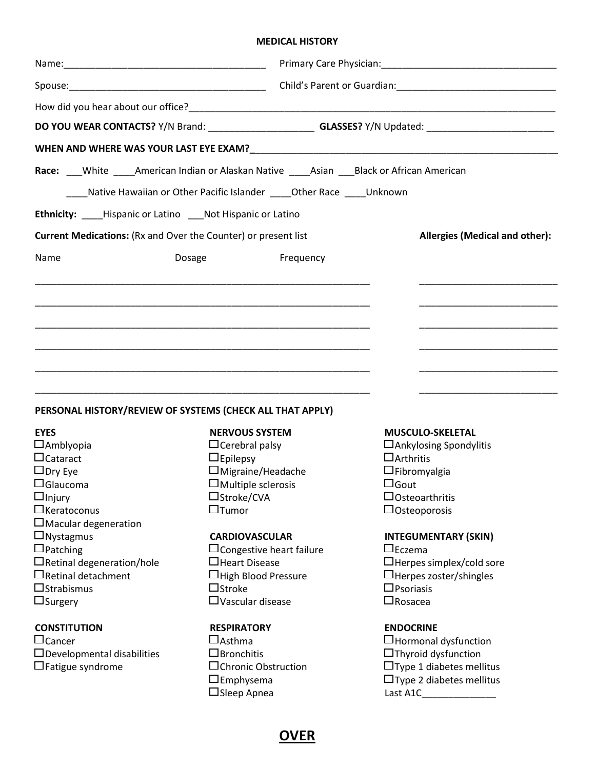## MEDICAL HISTORY

|                                                                |                                                                                            | DO YOU WEAR CONTACTS? Y/N Brand: _________________________GLASSES? Y/N Updated: _________________________ |  |  |  |
|----------------------------------------------------------------|--------------------------------------------------------------------------------------------|-----------------------------------------------------------------------------------------------------------|--|--|--|
|                                                                |                                                                                            |                                                                                                           |  |  |  |
|                                                                | Race: White ____American Indian or Alaskan Native _____Asian ____Black or African American |                                                                                                           |  |  |  |
|                                                                | Native Hawaiian or Other Pacific Islander _____ Other Race _____ Unknown                   |                                                                                                           |  |  |  |
| Ethnicity: ____Hispanic or Latino ___ Not Hispanic or Latino   |                                                                                            |                                                                                                           |  |  |  |
| Current Medications: (Rx and Over the Counter) or present list |                                                                                            | <b>Allergies (Medical and other):</b>                                                                     |  |  |  |
| Name                                                           | Frequency<br>Dosage                                                                        |                                                                                                           |  |  |  |
|                                                                |                                                                                            |                                                                                                           |  |  |  |
|                                                                |                                                                                            |                                                                                                           |  |  |  |
|                                                                |                                                                                            |                                                                                                           |  |  |  |
|                                                                |                                                                                            |                                                                                                           |  |  |  |
|                                                                |                                                                                            |                                                                                                           |  |  |  |
|                                                                |                                                                                            |                                                                                                           |  |  |  |
|                                                                |                                                                                            |                                                                                                           |  |  |  |
| <b>EYES</b>                                                    | PERSONAL HISTORY/REVIEW OF SYSTEMS (CHECK ALL THAT APPLY)                                  |                                                                                                           |  |  |  |
| $\Box$ Amblyopia                                               | <b>NERVOUS SYSTEM</b><br>$\Box$ Cerebral palsy                                             | <b>MUSCULO-SKELETAL</b><br>$\Box$ Ankylosing Spondylitis                                                  |  |  |  |
| $\Box$ Cataract                                                | $\Box$ Epilepsy                                                                            | $\Box$ Arthritis                                                                                          |  |  |  |
| $\Box$ Dry Eye                                                 | $\Box$ Migraine/Headache                                                                   | $\Box$ Fibromyalgia                                                                                       |  |  |  |
| $\Box$ Glaucoma                                                | $\square$ Multiple sclerosis                                                               | $\Box$ Gout                                                                                               |  |  |  |
| $\square$ Injury                                               | □Stroke/CVA                                                                                | $\Box$ Osteo arthritis                                                                                    |  |  |  |
| $\Box$ Keratoconus                                             | $\Box$ Tumor                                                                               | $\Box$ Osteoporosis                                                                                       |  |  |  |
| $\square$ Macular degeneration                                 |                                                                                            |                                                                                                           |  |  |  |
| $\Box$ Nystagmus                                               | <b>CARDIOVASCULAR</b>                                                                      | <b>INTEGUMENTARY (SKIN)</b>                                                                               |  |  |  |
| $\Box$ Patching                                                | $\square$ Congestive heart failure                                                         | $\Box$ Eczema                                                                                             |  |  |  |
| $\Box$ Retinal degeneration/hole                               | □Heart Disease                                                                             | □Herpes simplex/cold sore                                                                                 |  |  |  |
| $\Box$ Retinal detachment                                      | $\Box$ High Blood Pressure                                                                 | $\Box$ Herpes zoster/shingles                                                                             |  |  |  |
| $\Box$ Strabismus                                              | $\Box$ Stroke                                                                              | $\square$ Psoriasis                                                                                       |  |  |  |
| $\Box$ Surgery                                                 | $\Box$ Vascular disease                                                                    | $\square$ Rosacea                                                                                         |  |  |  |
| <b>CONSTITUTION</b>                                            | <b>RESPIRATORY</b>                                                                         | <b>ENDOCRINE</b>                                                                                          |  |  |  |
| $\Box$ Cancer                                                  | $\square$ Asthma                                                                           | □Hormonal dysfunction                                                                                     |  |  |  |
| $\Box$ Developmental disabilities                              | $\square$ Bronchitis                                                                       | $\Box$ Thyroid dysfunction                                                                                |  |  |  |
| $\Box$ Fatigue syndrome                                        | $\square$ Chronic Obstruction                                                              | $\Box$ Type 1 diabetes mellitus                                                                           |  |  |  |
|                                                                | $\square$ Emphysema                                                                        | $\Box$ Type 2 diabetes mellitus                                                                           |  |  |  |

**OVER** 

Sleep Apnea Last A1C\_\_\_\_\_\_\_\_\_\_\_\_\_\_